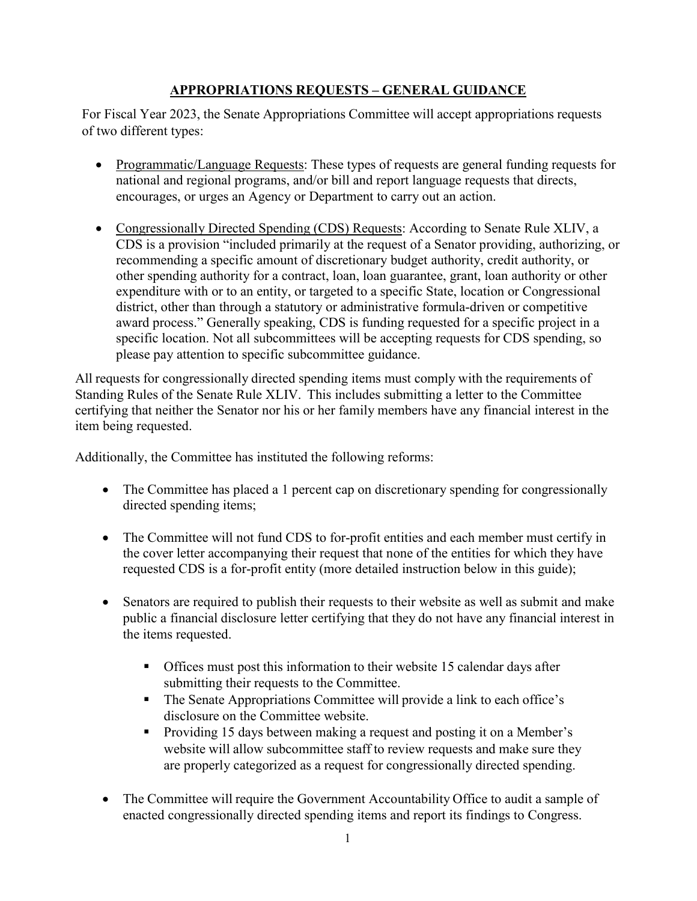## **APPROPRIATIONS REQUESTS – GENERAL GUIDANCE**

For Fiscal Year 2023, the Senate Appropriations Committee will accept appropriations requests of two different types:

- Programmatic/Language Requests: These types of requests are general funding requests for national and regional programs, and/or bill and report language requests that directs, encourages, or urges an Agency or Department to carry out an action.
- Congressionally Directed Spending (CDS) Requests: According to Senate Rule XLIV, a CDS is a provision "included primarily at the request of a Senator providing, authorizing, or recommending a specific amount of discretionary budget authority, credit authority, or other spending authority for a contract, loan, loan guarantee, grant, loan authority or other expenditure with or to an entity, or targeted to a specific State, location or Congressional district, other than through a statutory or administrative formula-driven or competitive award process." Generally speaking, CDS is funding requested for a specific project in a specific location. Not all subcommittees will be accepting requests for CDS spending, so please pay attention to specific subcommittee guidance.

All requests for congressionally directed spending items must comply with the requirements of Standing Rules of the Senate Rule XLIV. This includes submitting a letter to the Committee certifying that neither the Senator nor his or her family members have any financial interest in the item being requested.

Additionally, the Committee has instituted the following reforms:

- The Committee has placed a 1 percent cap on discretionary spending for congressionally directed spending items;
- The Committee will not fund CDS to for-profit entities and each member must certify in the cover letter accompanying their request that none of the entities for which they have requested CDS is a for-profit entity (more detailed instruction below in this guide);
- Senators are required to publish their requests to their website as well as submit and make public a financial disclosure letter certifying that they do not have any financial interest in the items requested.
	- Offices must post this information to their website 15 calendar days after submitting their requests to the Committee.
	- The Senate Appropriations Committee will provide a link to each office's disclosure on the Committee website.
	- **Providing 15 days between making a request and posting it on a Member's** website will allow subcommittee staff to review requests and make sure they are properly categorized as a request for congressionally directed spending.
- The Committee will require the Government Accountability Office to audit a sample of enacted congressionally directed spending items and report its findings to Congress.